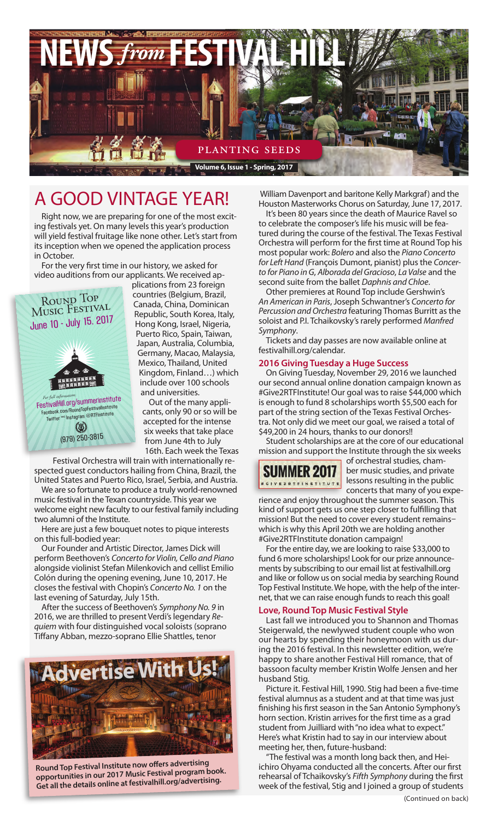

# A good vintage year!

Right now, we are preparing for one of the most exciting festivals yet. On many levels this year's production will yield festival fruitage like none other. Let's start from its inception when we opened the application process in October.

For the very first time in our history, we asked for video auditions from our applicants. We received ap-



plications from 23 foreign countries (Belgium, Brazil, Canada, China, Dominican Republic, South Korea, Italy, Hong Kong, Israel, Nigeria, Puerto Rico, Spain, Taiwan, Japan, Australia, Columbia, Germany, Macao, Malaysia, Mexico, Thailand, United Kingdom, Finland…) which include over 100 schools and universities.

> Out of the many applicants, only 90 or so will be accepted for the intense six weeks that take place from June 4th to July 16th. Each week the Texas

Festival Orchestra will train with internationally respected guest conductors hailing from China, Brazil, the United States and Puerto Rico, Israel, Serbia, and Austria.

We are so fortunate to produce a truly world-renowned music festival in the Texan countryside. This year we welcome eight new faculty to our festival family including two alumni of the Institute.

Here are just a few bouquet notes to pique interests on this full-bodied year:

Our Founder and Artistic Director, James Dick will perform Beethoven's *Concerto for Violin, Cello and Piano*  alongside violinist Stefan Milenkovich and cellist Emilio Colón during the opening evening, June 10, 2017. He closes the festival with Chopin's *Concerto No. 1* on the last evening of Saturday, July 15th.

After the success of Beethoven's *Symphony No. 9* in 2016, we are thrilled to present Verdi's legendary *Requiem* with four distinguished vocal soloists (soprano Tiffany Abban, mezzo-soprano Ellie Shattles, tenor



**Round Top Festival Institute now offers advertising opportunities in our 2017 Music Festival program book. Get all the details online at festivalhill.org/advertising.**

 William Davenport and baritone Kelly Markgraf) and the Houston Masterworks Chorus on Saturday, June 17, 2017.

It's been 80 years since the death of Maurice Ravel so to celebrate the composer's life his music will be featured during the course of the festival. The Texas Festival Orchestra will perform for the first time at Round Top his most popular work: *Bolero* and also the *Piano Concerto for Left Hand* (François Dumont, pianist) plus the *Concerto for Piano in G*, *Alborada del Gracioso*, *La Valse* and the second suite from the ballet *Daphnis and Chloe*.

Other premieres at Round Top include Gershwin's *An American in Paris*, Joseph Schwantner's *Concerto for Percussion and Orchestra* featuring Thomas Burritt as the soloist and P.I. Tchaikovsky's rarely performed *Manfred Symphony*.

Tickets and day passes are now available online at festivalhill.org/calendar.

#### **2016 Giving Tuesday a Huge Success**

On Giving Tuesday, November 29, 2016 we launched our second annual online donation campaign known as #Give2RTFInstitute! Our goal was to raise \$44,000 which is enough to fund 8 scholarships worth \$5,500 each for part of the string section of the Texas Festival Orchestra. Not only did we meet our goal, we raised a total of \$49,200 in 24 hours, thanks to our donors!!

Student scholarships are at the core of our educational mission and support the Institute through the six weeks



of orchestral studies, chamber music studies, and private lessons resulting in the public concerts that many of you expe-

rience and enjoy throughout the summer season. This kind of support gets us one step closer to fulfilling that mission! But the need to cover every student remains– which is why this April 20th we are holding another #Give2RTFInstitute donation campaign!

For the entire day, we are looking to raise \$33,000 to fund 6 more scholarships! Look for our prize announcements by subscribing to our email list at festivalhill.org and like or follow us on social media by searching Round Top Festival Institute. We hope, with the help of the internet, that we can raise enough funds to reach this goal!

## **Love, Round Top Music Festival Style**

Last fall we introduced you to Shannon and Thomas Steigerwald, the newlywed student couple who won our hearts by spending their honeymoon with us during the 2016 festival. In this newsletter edition, we're happy to share another Festival Hill romance, that of bassoon faculty member Kristin Wolfe Jensen and her husband Stig.

Picture it. Festival Hill, 1990. Stig had been a five-time festival alumnus as a student and at that time was just finishing his first season in the San Antonio Symphony's horn section. Kristin arrives for the first time as a grad student from Juilliard with "no idea what to expect." Here's what Kristin had to say in our interview about meeting her, then, future-husband:

The festival was a month long back then, and Heiichiro Ohyama conducted all the concerts. After our first rehearsal of Tchaikovsky's *Fifth Symphony* during the first week of the festival, Stig and I joined a group of students